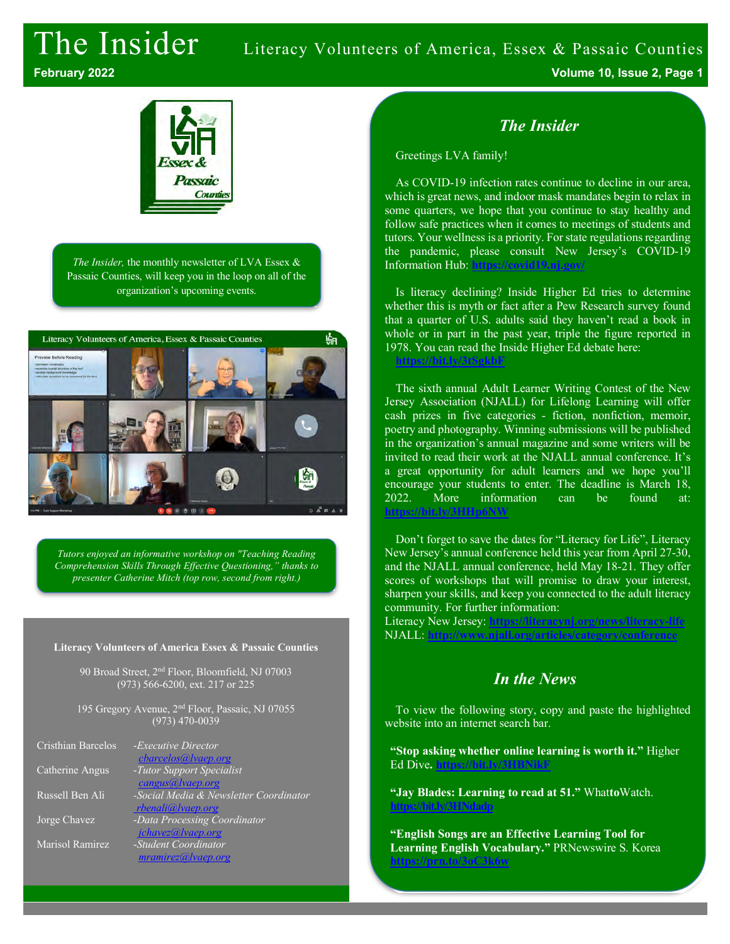# The Insider Literacy Volunteers of America, Essex & Passaic Counties **February 2022 Volume 10, Issue 2, Page 1**



*The Insider,* the monthly newsletter of LVA Essex & Passaic Counties, will keep you in the loop on all of the organization's upcoming events.



*Tutors enjoyed an informative workshop on "Teaching Reading Comprehension Skills Through Effective Questioning," thanks to presenter Catherine Mitch (top row, second from right.)*

#### **Literacy Volunteers of America Essex & Passaic Counties**

90 Broad Street, 2nd Floor, Bloomfield, NJ 07003 (973) 566-6200, ext. 217 or 225

195 Gregory Avenue, 2<sup>nd</sup> Floor, Passaic, NJ 07055 (973) 470-0039

| Cristhian Barcelos | - <i>Executive Director</i>            |
|--------------------|----------------------------------------|
|                    | cbarcelos@lvaep.org                    |
| Catherine Angus    | -Tutor Support Specialist              |
|                    | cangus@lvaep.org                       |
| Russell Ben Ali    | -Social Media & Newsletter Coordinator |
|                    | rbenali@lvaep.org                      |
| Jorge Chavez       | -Data Processing Coordinator           |
|                    | jchavez@lvaep.org                      |
| Marisol Ramirez    | -Student Coordinator                   |
|                    | mramirez@ vaep.org                     |
|                    |                                        |

#### *The Insider*

Greetings LVA family!

As COVID-19 infection rates continue to decline in our area, which is great news, and indoor mask mandates begin to relax in some quarters, we hope that you continue to stay healthy and follow safe practices when it comes to meetings of students and tutors. Your wellness is a priority. For state regulations regarding the pandemic, please consult New Jersey's COVID-19 Information Hub: **https://covid19.nj.gov/**

Is literacy declining? Inside Higher Ed tries to determine whether this is myth or fact after a Pew Research survey found that a quarter of U.S. adults said they haven't read a book in whole or in part in the past year, triple the figure reported in 1978. You can read the Inside Higher Ed debate here: **https://bit.ly/3tSgkbF**

The sixth annual Adult Learner Writing Contest of the New Jersey Association (NJALL) for Lifelong Learning will offer cash prizes in five categories - fiction, nonfiction, memoir, poetry and photography. Winning submissions will be published in the organization's annual magazine and some writers will be invited to read their work at the NJALL annual conference. It's a great opportunity for adult learners and we hope you'll encourage your students to enter. The deadline is March 18, 2022. More information can be found at: **https://bit.ly/3H** 

Don't forget to save the dates for "Literacy for Life", Literacy New Jersey's annual conference held this year from April 27-30, and the NJALL annual conference, held May 18-21. They offer scores of workshops that will promise to draw your interest, sharpen your skills, and keep you connected to the adult literacy community. For further information:

Literacy New Jersey: **https://literacynj.org/news/literacy-life** NJALL: **http://www.njall.org/articles/category/conference**

#### *In the News*

To view the following story, copy and paste the highlighted website into an internet search bar.

**"Stop asking whether online learning is worth it."** Higher Ed Dive**. https://bit.ly/3HBNikF**

**"Jay Blades: Learning to read at 51."** What**to**Watch. **https://bit.ly/3HNdadp**

**"English Songs are an Effective Learning Tool for Learning English Vocabulary."** PRNewswire S. Korea **https://prn.to/3oC3k6w**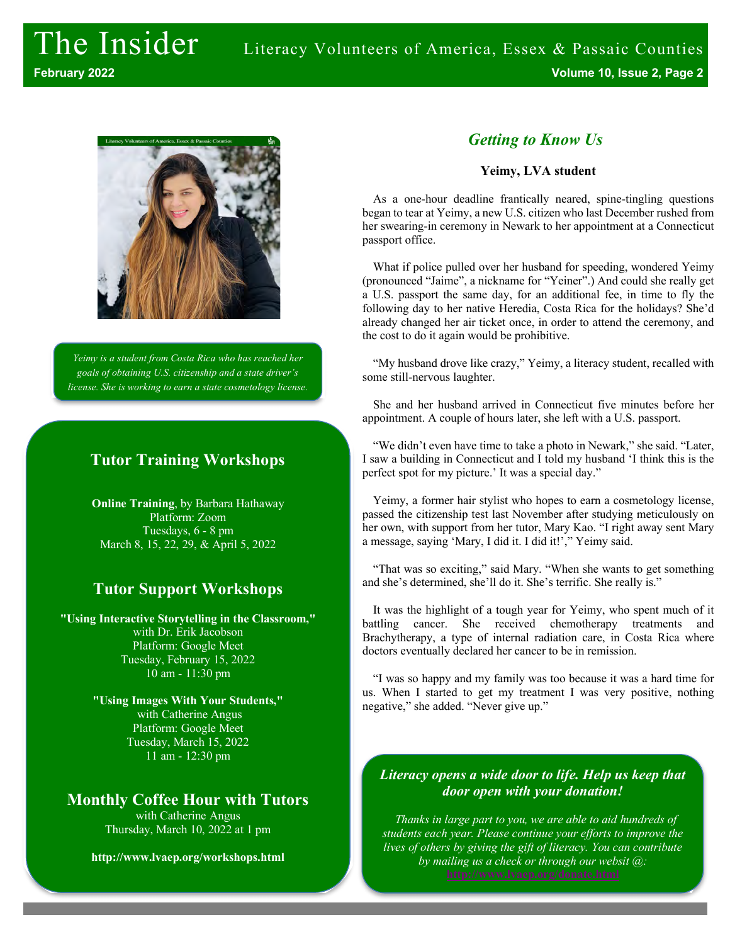

*Yeimy is a student from Costa Rica who has reached her goals of obtaining U.S. citizenship and a state driver's license. She is working to earn a state cosmetology license.*

### **Tutor Training Workshops**

**Online Training**, by Barbara Hathaway Platform: Zoom Tuesdays, 6 - 8 pm March 8, 15, 22, 29, & April 5, 2022

### **Tutor Support Workshops**

**"Using Interactive Storytelling in the Classroom,"** with Dr. Erik Jacobson Platform: Google Meet Tuesday, February 15, 2022 10 am - 11:30 pm

> **"Using Images With Your Students,"** with Catherine Angus Platform: Google Meet Tuesday, March 15, 2022 11 am - 12:30 pm

## **Monthly Coffee Hour with Tutors**

with Catherine Angus Thursday, March 10, 2022 at 1 pm

**http://www.lvaep.org/workshops.html**

## *Getting to Know Us*

#### **Yeimy, LVA student**

As a one-hour deadline frantically neared, spine-tingling questions began to tear at Yeimy, a new U.S. citizen who last December rushed from her swearing-in ceremony in Newark to her appointment at a Connecticut passport office.

What if police pulled over her husband for speeding, wondered Yeimy (pronounced "Jaime", a nickname for "Yeiner".) And could she really get a U.S. passport the same day, for an additional fee, in time to fly the following day to her native Heredia, Costa Rica for the holidays? She'd already changed her air ticket once, in order to attend the ceremony, and the cost to do it again would be prohibitive.

"My husband drove like crazy," Yeimy, a literacy student, recalled with some still-nervous laughter.

She and her husband arrived in Connecticut five minutes before her appointment. A couple of hours later, she left with a U.S. passport.

"We didn't even have time to take a photo in Newark," she said. "Later, I saw a building in Connecticut and I told my husband 'I think this is the perfect spot for my picture.' It was a special day."

Yeimy, a former hair stylist who hopes to earn a cosmetology license, passed the citizenship test last November after studying meticulously on her own, with support from her tutor, Mary Kao. "I right away sent Mary a message, saying 'Mary, I did it. I did it!'," Yeimy said.

"That was so exciting," said Mary. "When she wants to get something and she's determined, she'll do it. She's terrific. She really is."

It was the highlight of a tough year for Yeimy, who spent much of it battling cancer. She received chemotherapy treatments and Brachytherapy, a type of internal radiation care, in Costa Rica where doctors eventually declared her cancer to be in remission.

"I was so happy and my family was too because it was a hard time for us. When I started to get my treatment I was very positive, nothing negative," she added. "Never give up."

#### *Literacy opens a wide door to life. Help us keep that door open with your donation!*

*Thanks in large part to you, we are able to aid hundreds of students each year. Please continue your efforts to improve the lives of others by giving the gift of literacy. You can contribute by mailing us a check or through our websit @:*

*or by mailing us a check.*